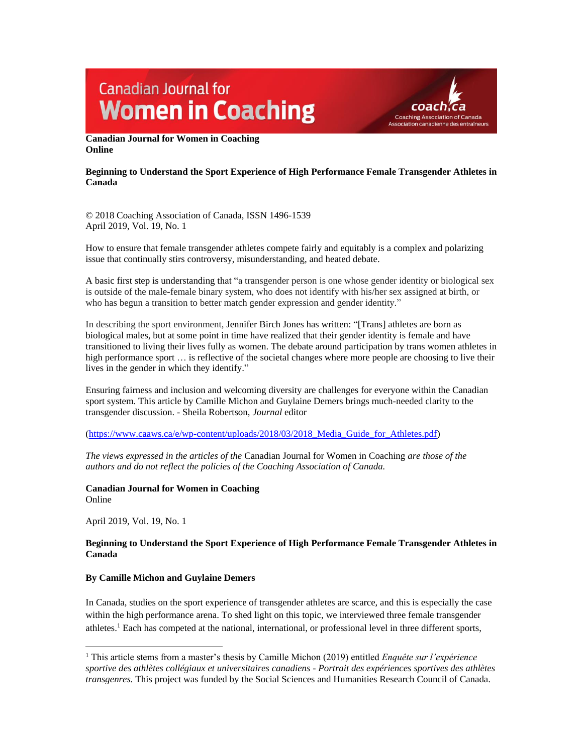# **Canadian Journal for Women in Coaching**



**Canadian Journal for Women in Coaching Online**

## **Beginning to Understand the Sport Experience of High Performance Female Transgender Athletes in Canada**

© 2018 Coaching Association of Canada, ISSN 1496-1539 April 2019, Vol. 19, No. 1

How to ensure that female transgender athletes compete fairly and equitably is a complex and polarizing issue that continually stirs controversy, misunderstanding, and heated debate.

A basic first step is understanding that "a transgender person is one whose gender identity or biological sex is outside of the male-female binary system, who does not identify with his/her sex assigned at birth, or who has begun a transition to better match gender expression and gender identity."

In describing the sport environment, Jennifer Birch Jones has written: "[Trans] athletes are born as biological males, but at some point in time have realized that their gender identity is female and have transitioned to living their lives fully as women. The debate around participation by trans women athletes in high performance sport … is reflective of the societal changes where more people are choosing to live their lives in the gender in which they identify."

Ensuring fairness and inclusion and welcoming diversity are challenges for everyone within the Canadian sport system. This article by Camille Michon and Guylaine Demers brings much-needed clarity to the transgender discussion. - Sheila Robertson, *Journal* editor

[\(https://www.caaws.ca/e/wp-content/uploads/2018/03/2018\\_Media\\_Guide\\_for\\_Athletes.pdf\)](https://www.caaws.ca/e/wp-content/uploads/2018/03/2018_Media_Guide_for_Athletes.pdf)

*The views expressed in the articles of the* Canadian Journal for Women in Coaching *are those of the authors and do not reflect the policies of the Coaching Association of Canada.*

**Canadian Journal for Women in Coaching** Online

April 2019, Vol. 19, No. 1

# **Beginning to Understand the Sport Experience of High Performance Female Transgender Athletes in Canada**

## **By Camille Michon and Guylaine Demers**

In Canada, studies on the sport experience of transgender athletes are scarce, and this is especially the case within the high performance arena. To shed light on this topic, we interviewed three female transgender athletes.<sup>1</sup> Each has competed at the national, international, or professional level in three different sports,

 $\overline{\phantom{a}}$ <sup>1</sup> This article stems from a master's thesis by Camille Michon (2019) entitled *Enquête sur l'expérience sportive des athlètes collégiaux et universitaires canadiens - Portrait des expériences sportives des athlètes transgenres.* This project was funded by the Social Sciences and Humanities Research Council of Canada.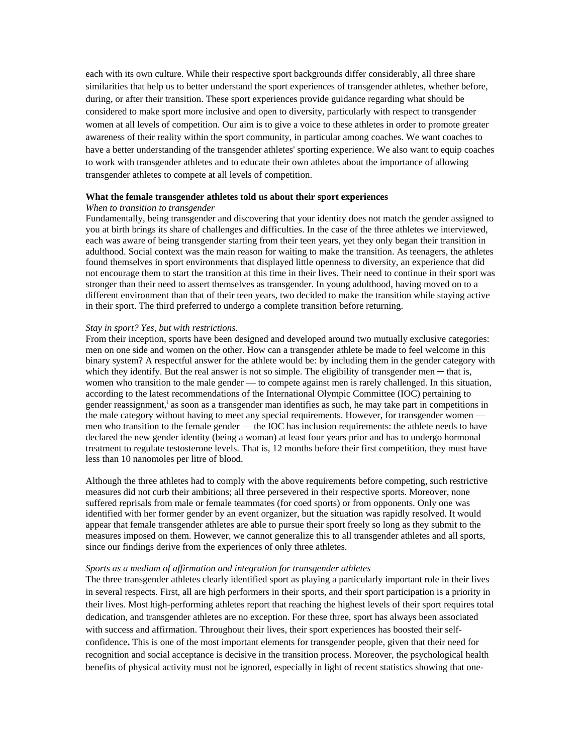each with its own culture. While their respective sport backgrounds differ considerably, all three share similarities that help us to better understand the sport experiences of transgender athletes, whether before, during, or after their transition. These sport experiences provide guidance regarding what should be considered to make sport more inclusive and open to diversity, particularly with respect to transgender women at all levels of competition. Our aim is to give a voice to these athletes in order to promote greater awareness of their reality within the sport community, in particular among coaches. We want coaches to have a better understanding of the transgender athletes' sporting experience. We also want to equip coaches to work with transgender athletes and to educate their own athletes about the importance of allowing transgender athletes to compete at all levels of competition.

#### **What the female transgender athletes told us about their sport experiences**

#### *When to transition to transgender*

Fundamentally, being transgender and discovering that your identity does not match the gender assigned to you at birth brings its share of challenges and difficulties. In the case of the three athletes we interviewed, each was aware of being transgender starting from their teen years, yet they only began their transition in adulthood. Social context was the main reason for waiting to make the transition. As teenagers, the athletes found themselves in sport environments that displayed little openness to diversity, an experience that did not encourage them to start the transition at this time in their lives. Their need to continue in their sport was stronger than their need to assert themselves as transgender. In young adulthood, having moved on to a different environment than that of their teen years, two decided to make the transition while staying active in their sport. The third preferred to undergo a complete transition before returning.

#### *Stay in sport? Yes, but with restrictions.*

From their inception, sports have been designed and developed around two mutually exclusive categories: men on one side and women on the other. How can a transgender athlete be made to feel welcome in this binary system? A respectful answer for the athlete would be: by including them in the gender category with which they identify. But the real answer is not so simple. The eligibility of transgender men  $-$  that is, women who transition to the male gender — to compete against men is rarely challenged. In this situation, according to the latest recommendations of the International Olympic Committee (IOC) pertaining to gender reassignment,<sup>i</sup> as soon as a transgender man identifies as such, he may take part in competitions in the male category without having to meet any special requirements. However, for transgender women men who transition to the female gender — the IOC has inclusion requirements: the athlete needs to have declared the new gender identity (being a woman) at least four years prior and has to undergo hormonal treatment to regulate testosterone levels. That is, 12 months before their first competition, they must have less than 10 nanomoles per litre of blood.

Although the three athletes had to comply with the above requirements before competing, such restrictive measures did not curb their ambitions; all three persevered in their respective sports. Moreover, none suffered reprisals from male or female teammates (for coed sports) or from opponents. Only one was identified with her former gender by an event organizer, but the situation was rapidly resolved. It would appear that female transgender athletes are able to pursue their sport freely so long as they submit to the measures imposed on them. However, we cannot generalize this to all transgender athletes and all sports, since our findings derive from the experiences of only three athletes.

### *Sports as a medium of affirmation and integration for transgender athletes*

The three transgender athletes clearly identified sport as playing a particularly important role in their lives in several respects. First, all are high performers in their sports, and their sport participation is a priority in their lives. Most high-performing athletes report that reaching the highest levels of their sport requires total dedication, and transgender athletes are no exception. For these three, sport has always been associated with success and affirmation. Throughout their lives, their sport experiences has boosted their selfconfidence**.** This is one of the most important elements for transgender people, given that their need for recognition and social acceptance is decisive in the transition process. Moreover, the psychological health benefits of physical activity must not be ignored, especially in light of recent statistics showing that one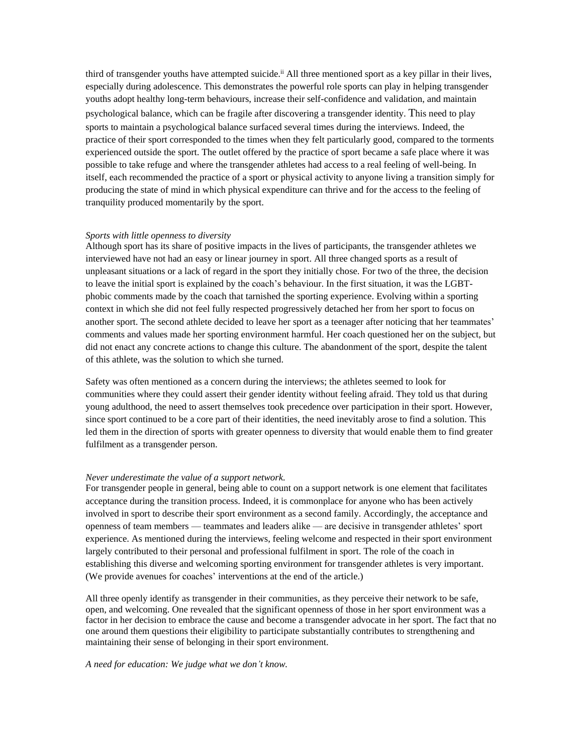third of transgender youths have attempted suicide.<sup>ii</sup> All three mentioned sport as a key pillar in their lives, especially during adolescence. This demonstrates the powerful role sports can play in helping transgender youths adopt healthy long-term behaviours, increase their self-confidence and validation, and maintain psychological balance, which can be fragile after discovering a transgender identity. This need to play sports to maintain a psychological balance surfaced several times during the interviews. Indeed, the practice of their sport corresponded to the times when they felt particularly good, compared to the torments experienced outside the sport. The outlet offered by the practice of sport became a safe place where it was possible to take refuge and where the transgender athletes had access to a real feeling of well-being. In itself, each recommended the practice of a sport or physical activity to anyone living a transition simply for producing the state of mind in which physical expenditure can thrive and for the access to the feeling of tranquility produced momentarily by the sport.

## *Sports with little openness to diversity*

Although sport has its share of positive impacts in the lives of participants, the transgender athletes we interviewed have not had an easy or linear journey in sport. All three changed sports as a result of unpleasant situations or a lack of regard in the sport they initially chose. For two of the three, the decision to leave the initial sport is explained by the coach's behaviour. In the first situation, it was the LGBTphobic comments made by the coach that tarnished the sporting experience. Evolving within a sporting context in which she did not feel fully respected progressively detached her from her sport to focus on another sport. The second athlete decided to leave her sport as a teenager after noticing that her teammates' comments and values made her sporting environment harmful. Her coach questioned her on the subject, but did not enact any concrete actions to change this culture. The abandonment of the sport, despite the talent of this athlete, was the solution to which she turned.

Safety was often mentioned as a concern during the interviews; the athletes seemed to look for communities where they could assert their gender identity without feeling afraid. They told us that during young adulthood, the need to assert themselves took precedence over participation in their sport. However, since sport continued to be a core part of their identities, the need inevitably arose to find a solution. This led them in the direction of sports with greater openness to diversity that would enable them to find greater fulfilment as a transgender person.

## *Never underestimate the value of a support network.*

For transgender people in general, being able to count on a support network is one element that facilitates acceptance during the transition process. Indeed, it is commonplace for anyone who has been actively involved in sport to describe their sport environment as a second family. Accordingly, the acceptance and openness of team members — teammates and leaders alike — are decisive in transgender athletes' sport experience. As mentioned during the interviews, feeling welcome and respected in their sport environment largely contributed to their personal and professional fulfilment in sport. The role of the coach in establishing this diverse and welcoming sporting environment for transgender athletes is very important. (We provide avenues for coaches' interventions at the end of the article.)

All three openly identify as transgender in their communities, as they perceive their network to be safe, open, and welcoming. One revealed that the significant openness of those in her sport environment was a factor in her decision to embrace the cause and become a transgender advocate in her sport. The fact that no one around them questions their eligibility to participate substantially contributes to strengthening and maintaining their sense of belonging in their sport environment.

### *A need for education: We judge what we don't know.*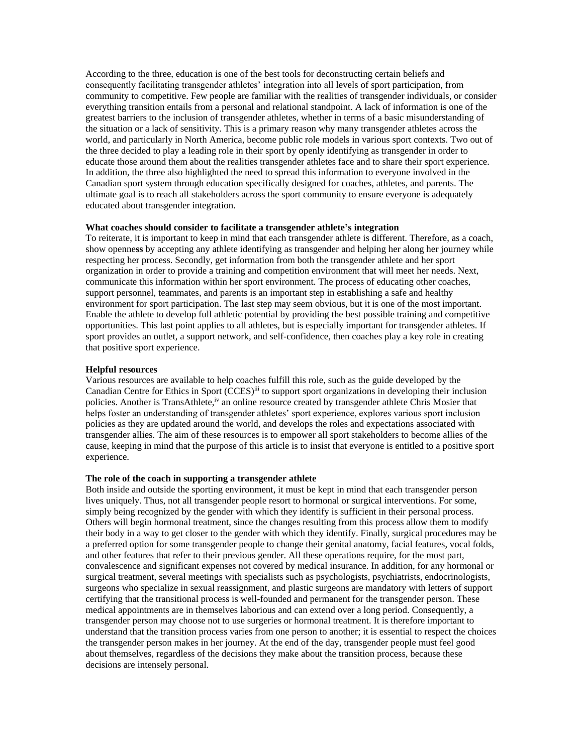According to the three, education is one of the best tools for deconstructing certain beliefs and consequently facilitating transgender athletes' integration into all levels of sport participation, from community to competitive. Few people are familiar with the realities of transgender individuals, or consider everything transition entails from a personal and relational standpoint. A lack of information is one of the greatest barriers to the inclusion of transgender athletes, whether in terms of a basic misunderstanding of the situation or a lack of sensitivity. This is a primary reason why many transgender athletes across the world, and particularly in North America, become public role models in various sport contexts. Two out of the three decided to play a leading role in their sport by openly identifying as transgender in order to educate those around them about the realities transgender athletes face and to share their sport experience. In addition, the three also highlighted the need to spread this information to everyone involved in the Canadian sport system through education specifically designed for coaches, athletes, and parents. The ultimate goal is to reach all stakeholders across the sport community to ensure everyone is adequately educated about transgender integration.

## **What coaches should consider to facilitate a transgender athlete's integration**

To reiterate, it is important to keep in mind that each transgender athlete is different. Therefore, as a coach, show openne**ss** by accepting any athlete identifying as transgender and helping her along her journey while respecting her process. Secondly, get information from both the transgender athlete and her sport organization in order to provide a training and competition environment that will meet her needs. Next, communicate this information within her sport environment. The process of educating other coaches, support personnel, teammates, and parents is an important step in establishing a safe and healthy environment for sport participation. The last step may seem obvious, but it is one of the most important. Enable the athlete to develop full athletic potential by providing the best possible training and competitive opportunities. This last point applies to all athletes, but is especially important for transgender athletes. If sport provides an outlet, a support network, and self-confidence, then coaches play a key role in creating that positive sport experience.

### **Helpful resources**

Various resources are available to help coaches fulfill this role, such as the guide developed by the Canadian Centre for Ethics in Sport (CCES)<sup>iii</sup> to support sport organizations in developing their inclusion policies. Another is TransAthlete,<sup>iv</sup> an online resource created by transgender athlete Chris Mosier that helps foster an understanding of transgender athletes' sport experience, explores various sport inclusion policies as they are updated around the world, and develops the roles and expectations associated with transgender allies. The aim of these resources is to empower all sport stakeholders to become allies of the cause, keeping in mind that the purpose of this article is to insist that everyone is entitled to a positive sport experience.

#### **The role of the coach in supporting a transgender athlete**

Both inside and outside the sporting environment, it must be kept in mind that each transgender person lives uniquely. Thus, not all transgender people resort to hormonal or surgical interventions. For some, simply being recognized by the gender with which they identify is sufficient in their personal process. Others will begin hormonal treatment, since the changes resulting from this process allow them to modify their body in a way to get closer to the gender with which they identify. Finally, surgical procedures may be a preferred option for some transgender people to change their genital anatomy, facial features, vocal folds, and other features that refer to their previous gender. All these operations require, for the most part, convalescence and significant expenses not covered by medical insurance. In addition, for any hormonal or surgical treatment, several meetings with specialists such as psychologists, psychiatrists, endocrinologists, surgeons who specialize in sexual reassignment, and plastic surgeons are mandatory with letters of support certifying that the transitional process is well-founded and permanent for the transgender person. These medical appointments are in themselves laborious and can extend over a long period. Consequently, a transgender person may choose not to use surgeries or hormonal treatment. It is therefore important to understand that the transition process varies from one person to another; it is essential to respect the choices the transgender person makes in her journey. At the end of the day, transgender people must feel good about themselves, regardless of the decisions they make about the transition process, because these decisions are intensely personal.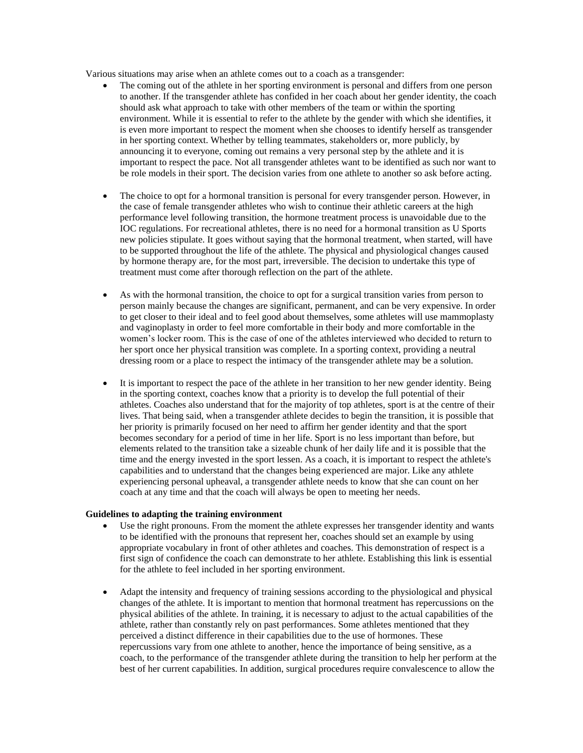Various situations may arise when an athlete comes out to a coach as a transgender:

- The coming out of the athlete in her sporting environment is personal and differs from one person to another. If the transgender athlete has confided in her coach about her gender identity, the coach should ask what approach to take with other members of the team or within the sporting environment. While it is essential to refer to the athlete by the gender with which she identifies, it is even more important to respect the moment when she chooses to identify herself as transgender in her sporting context. Whether by telling teammates, stakeholders or, more publicly, by announcing it to everyone, coming out remains a very personal step by the athlete and it is important to respect the pace. Not all transgender athletes want to be identified as such nor want to be role models in their sport. The decision varies from one athlete to another so ask before acting.
- The choice to opt for a hormonal transition is personal for every transgender person. However, in the case of female transgender athletes who wish to continue their athletic careers at the high performance level following transition, the hormone treatment process is unavoidable due to the IOC regulations. For recreational athletes, there is no need for a hormonal transition as U Sports new policies stipulate. It goes without saying that the hormonal treatment, when started, will have to be supported throughout the life of the athlete. The physical and physiological changes caused by hormone therapy are, for the most part, irreversible. The decision to undertake this type of treatment must come after thorough reflection on the part of the athlete.
- As with the hormonal transition, the choice to opt for a surgical transition varies from person to person mainly because the changes are significant, permanent, and can be very expensive. In order to get closer to their ideal and to feel good about themselves, some athletes will use mammoplasty and vaginoplasty in order to feel more comfortable in their body and more comfortable in the women's locker room. This is the case of one of the athletes interviewed who decided to return to her sport once her physical transition was complete. In a sporting context, providing a neutral dressing room or a place to respect the intimacy of the transgender athlete may be a solution.
- It is important to respect the pace of the athlete in her transition to her new gender identity. Being in the sporting context, coaches know that a priority is to develop the full potential of their athletes. Coaches also understand that for the majority of top athletes, sport is at the centre of their lives. That being said, when a transgender athlete decides to begin the transition, it is possible that her priority is primarily focused on her need to affirm her gender identity and that the sport becomes secondary for a period of time in her life. Sport is no less important than before, but elements related to the transition take a sizeable chunk of her daily life and it is possible that the time and the energy invested in the sport lessen. As a coach, it is important to respect the athlete's capabilities and to understand that the changes being experienced are major. Like any athlete experiencing personal upheaval, a transgender athlete needs to know that she can count on her coach at any time and that the coach will always be open to meeting her needs.

## **Guidelines to adapting the training environment**

- Use the right pronouns. From the moment the athlete expresses her transgender identity and wants to be identified with the pronouns that represent her, coaches should set an example by using appropriate vocabulary in front of other athletes and coaches. This demonstration of respect is a first sign of confidence the coach can demonstrate to her athlete. Establishing this link is essential for the athlete to feel included in her sporting environment.
- Adapt the intensity and frequency of training sessions according to the physiological and physical changes of the athlete. It is important to mention that hormonal treatment has repercussions on the physical abilities of the athlete. In training, it is necessary to adjust to the actual capabilities of the athlete, rather than constantly rely on past performances. Some athletes mentioned that they perceived a distinct difference in their capabilities due to the use of hormones. These repercussions vary from one athlete to another, hence the importance of being sensitive, as a coach, to the performance of the transgender athlete during the transition to help her perform at the best of her current capabilities. In addition, surgical procedures require convalescence to allow the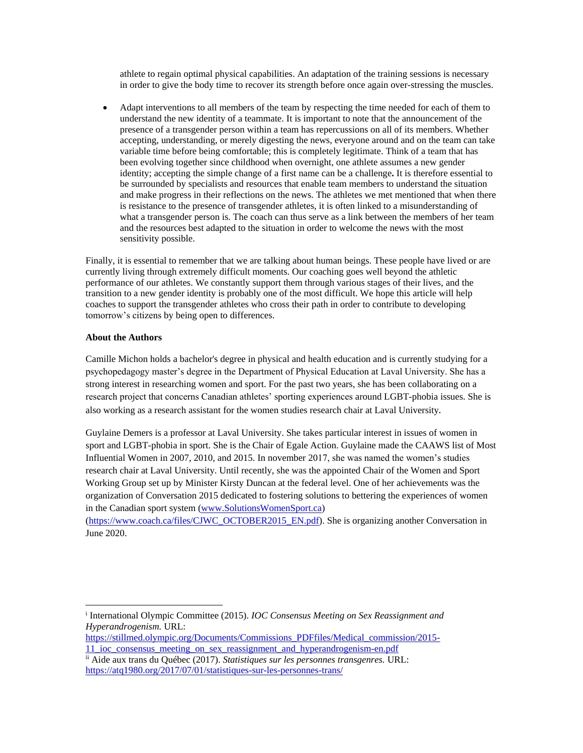athlete to regain optimal physical capabilities. An adaptation of the training sessions is necessary in order to give the body time to recover its strength before once again over-stressing the muscles.

 Adapt interventions to all members of the team by respecting the time needed for each of them to understand the new identity of a teammate. It is important to note that the announcement of the presence of a transgender person within a team has repercussions on all of its members. Whether accepting, understanding, or merely digesting the news, everyone around and on the team can take variable time before being comfortable; this is completely legitimate. Think of a team that has been evolving together since childhood when overnight, one athlete assumes a new gender identity; accepting the simple change of a first name can be a challenge**.** It is therefore essential to be surrounded by specialists and resources that enable team members to understand the situation and make progress in their reflections on the news. The athletes we met mentioned that when there is resistance to the presence of transgender athletes, it is often linked to a misunderstanding of what a transgender person is. The coach can thus serve as a link between the members of her team and the resources best adapted to the situation in order to welcome the news with the most sensitivity possible.

Finally, it is essential to remember that we are talking about human beings. These people have lived or are currently living through extremely difficult moments. Our coaching goes well beyond the athletic performance of our athletes. We constantly support them through various stages of their lives, and the transition to a new gender identity is probably one of the most difficult. We hope this article will help coaches to support the transgender athletes who cross their path in order to contribute to developing tomorrow's citizens by being open to differences.

## **About the Authors**

 $\overline{\phantom{a}}$ 

Camille Michon holds a bachelor's degree in physical and health education and is currently studying for a psychopedagogy master's degree in the Department of Physical Education at Laval University. She has a strong interest in researching women and sport. For the past two years, she has been collaborating on a research project that concerns Canadian athletes' sporting experiences around LGBT-phobia issues. She is also working as a research assistant for the women studies research chair at Laval University.

Guylaine Demers is a professor at Laval University. She takes particular interest in issues of women in sport and LGBT-phobia in sport. She is the Chair of Egale Action. Guylaine made the CAAWS list of Most Influential Women in 2007, 2010, and 2015. In november 2017, she was named the women's studies research chair at Laval University. Until recently, she was the appointed Chair of the Women and Sport Working Group set up by Minister Kirsty Duncan at the federal level. One of her achievements was the organization of Conversation 2015 dedicated to fostering solutions to bettering the experiences of women in the Canadian sport system [\(www.SolutionsWomenSport.ca\)](http://www.solutionswomensport.ca/)

[\(https://www.coach.ca/files/CJWC\\_OCTOBER2015\\_EN.pdf\)](https://www.coach.ca/files/CJWC_OCTOBER2015_EN.pdf). She is organizing another Conversation in June 2020.

i International Olympic Committee (2015). *IOC Consensus Meeting on Sex Reassignment and Hyperandrogenism.* URL:

[https://stillmed.olympic.org/Documents/Commissions\\_PDFfiles/Medical\\_commission/2015-](https://stillmed.olympic.org/Documents/Commissions_PDFfiles/Medical_commission/2015-11_ioc_consensus_meeting_on_sex_reassignment_and_hyperandrogenism-en.pdf) 11 ioc\_consensus\_meeting\_on\_sex\_reassignment\_and\_hyperandrogenism-en.pdf

ii Aide aux trans du Québec (2017). *Statistiques sur les personnes transgenres.* URL: <https://atq1980.org/2017/07/01/statistiques-sur-les-personnes-trans/>